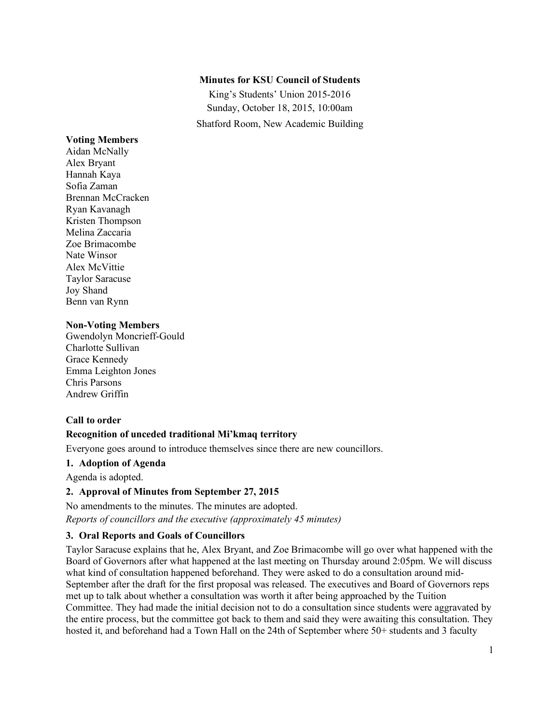## **Minutes for KSU Council of Students**

King's Students' Union 2015-2016 Sunday, October 18, 2015, 10:00am Shatford Room, New Academic Building

#### **Voting Members**

Aidan McNally Alex Bryant Hannah Kaya Sofia Zaman Brennan McCracken Ryan Kavanagh Kristen Thompson Melina Zaccaria Zoe Brimacombe Nate Winsor Alex McVittie Taylor Saracuse Joy Shand Benn van Rynn

#### **Non-Voting Members**

Gwendolyn Moncrieff-Gould Charlotte Sullivan Grace Kennedy Emma Leighton Jones Chris Parsons Andrew Griffin

#### **Call to order**

#### **Recognition of unceded traditional Mi'kmaq territory**

Everyone goes around to introduce themselves since there are new councillors.

# **1. Adoption of Agenda**

Agenda is adopted.

#### **2. Approval of Minutes from September 27, 2015**

No amendments to the minutes. The minutes are adopted. *Reports of councillors and the executive (approximately 45 minutes)*

## **3. Oral Reports and Goals of Councillors**

Taylor Saracuse explains that he, Alex Bryant, and Zoe Brimacombe will go over what happened with the Board of Governors after what happened at the last meeting on Thursday around 2:05pm. We will discuss what kind of consultation happened beforehand. They were asked to do a consultation around mid-September after the draft for the first proposal was released. The executives and Board of Governors reps met up to talk about whether a consultation was worth it after being approached by the Tuition Committee. They had made the initial decision not to do a consultation since students were aggravated by the entire process, but the committee got back to them and said they were awaiting this consultation. They hosted it, and beforehand had a Town Hall on the 24th of September where 50+ students and 3 faculty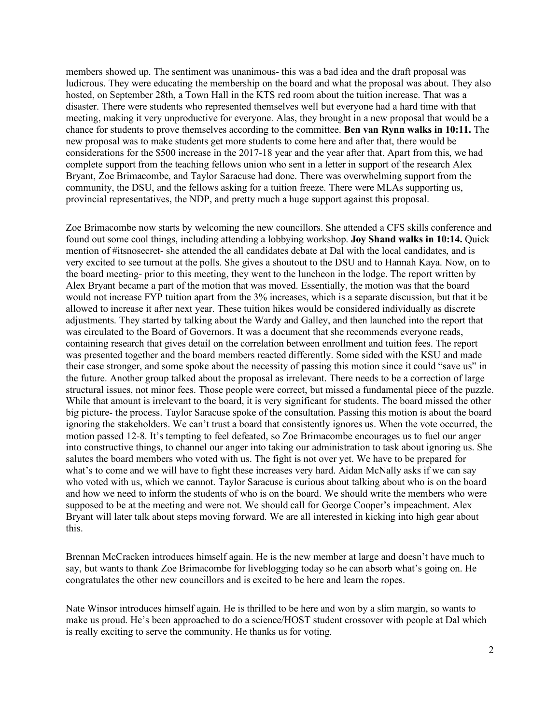members showed up. The sentiment was unanimous- this was a bad idea and the draft proposal was ludicrous. They were educating the membership on the board and what the proposal was about. They also hosted, on September 28th, a Town Hall in the KTS red room about the tuition increase. That was a disaster. There were students who represented themselves well but everyone had a hard time with that meeting, making it very unproductive for everyone. Alas, they brought in a new proposal that would be a chance for students to prove themselves according to the committee. **Ben van Rynn walks in 10:11.** The new proposal was to make students get more students to come here and after that, there would be considerations for the \$500 increase in the 2017-18 year and the year after that. Apart from this, we had complete support from the teaching fellows union who sent in a letter in support of the research Alex Bryant, Zoe Brimacombe, and Taylor Saracuse had done. There was overwhelming support from the community, the DSU, and the fellows asking for a tuition freeze. There were MLAs supporting us, provincial representatives, the NDP, and pretty much a huge support against this proposal.

Zoe Brimacombe now starts by welcoming the new councillors. She attended a CFS skills conference and found out some cool things, including attending a lobbying workshop. **Joy Shand walks in 10:14.** Quick mention of #itsnosecret- she attended the all candidates debate at Dal with the local candidates, and is very excited to see turnout at the polls. She gives a shoutout to the DSU and to Hannah Kaya. Now, on to the board meeting- prior to this meeting, they went to the luncheon in the lodge. The report written by Alex Bryant became a part of the motion that was moved. Essentially, the motion was that the board would not increase FYP tuition apart from the 3% increases, which is a separate discussion, but that it be allowed to increase it after next year. These tuition hikes would be considered individually as discrete adjustments. They started by talking about the Wardy and Galley, and then launched into the report that was circulated to the Board of Governors. It was a document that she recommends everyone reads, containing research that gives detail on the correlation between enrollment and tuition fees. The report was presented together and the board members reacted differently. Some sided with the KSU and made their case stronger, and some spoke about the necessity of passing this motion since it could "save us" in the future. Another group talked about the proposal as irrelevant. There needs to be a correction of large structural issues, not minor fees. Those people were correct, but missed a fundamental piece of the puzzle. While that amount is irrelevant to the board, it is very significant for students. The board missed the other big picture- the process. Taylor Saracuse spoke of the consultation. Passing this motion is about the board ignoring the stakeholders. We can't trust a board that consistently ignores us. When the vote occurred, the motion passed 12-8. It's tempting to feel defeated, so Zoe Brimacombe encourages us to fuel our anger into constructive things, to channel our anger into taking our administration to task about ignoring us. She salutes the board members who voted with us. The fight is not over yet. We have to be prepared for what's to come and we will have to fight these increases very hard. Aidan McNally asks if we can say who voted with us, which we cannot. Taylor Saracuse is curious about talking about who is on the board and how we need to inform the students of who is on the board. We should write the members who were supposed to be at the meeting and were not. We should call for George Cooper's impeachment. Alex Bryant will later talk about steps moving forward. We are all interested in kicking into high gear about this.

Brennan McCracken introduces himself again. He is the new member at large and doesn't have much to say, but wants to thank Zoe Brimacombe for liveblogging today so he can absorb what's going on. He congratulates the other new councillors and is excited to be here and learn the ropes.

Nate Winsor introduces himself again. He is thrilled to be here and won by a slim margin, so wants to make us proud. He's been approached to do a science/HOST student crossover with people at Dal which is really exciting to serve the community. He thanks us for voting.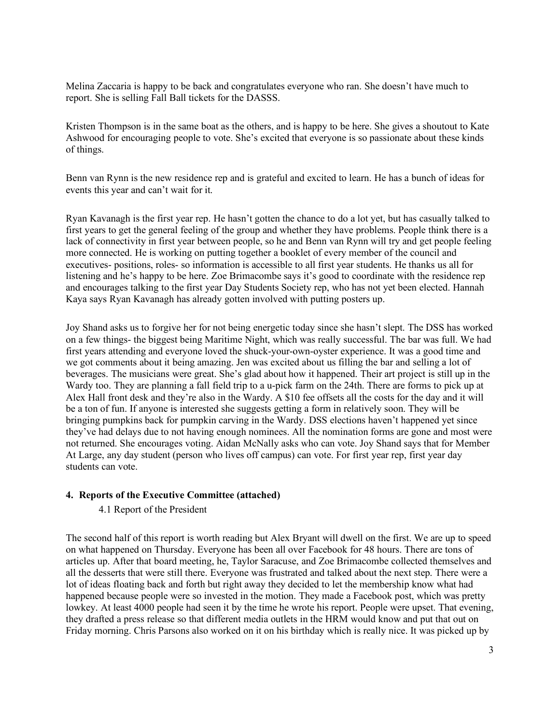Melina Zaccaria is happy to be back and congratulates everyone who ran. She doesn't have much to report. She is selling Fall Ball tickets for the DASSS.

Kristen Thompson is in the same boat as the others, and is happy to be here. She gives a shoutout to Kate Ashwood for encouraging people to vote. She's excited that everyone is so passionate about these kinds of things.

Benn van Rynn is the new residence rep and is grateful and excited to learn. He has a bunch of ideas for events this year and can't wait for it.

Ryan Kavanagh is the first year rep. He hasn't gotten the chance to do a lot yet, but has casually talked to first years to get the general feeling of the group and whether they have problems. People think there is a lack of connectivity in first year between people, so he and Benn van Rynn will try and get people feeling more connected. He is working on putting together a booklet of every member of the council and executives- positions, roles- so information is accessible to all first year students. He thanks us all for listening and he's happy to be here. Zoe Brimacombe says it's good to coordinate with the residence rep and encourages talking to the first year Day Students Society rep, who has not yet been elected. Hannah Kaya says Ryan Kavanagh has already gotten involved with putting posters up.

Joy Shand asks us to forgive her for not being energetic today since she hasn't slept. The DSS has worked on a few things- the biggest being Maritime Night, which was really successful. The bar was full. We had first years attending and everyone loved the shuck-your-own-oyster experience. It was a good time and we got comments about it being amazing. Jen was excited about us filling the bar and selling a lot of beverages. The musicians were great. She's glad about how it happened. Their art project is still up in the Wardy too. They are planning a fall field trip to a u-pick farm on the 24th. There are forms to pick up at Alex Hall front desk and they're also in the Wardy. A \$10 fee offsets all the costs for the day and it will be a ton of fun. If anyone is interested she suggests getting a form in relatively soon. They will be bringing pumpkins back for pumpkin carving in the Wardy. DSS elections haven't happened yet since they've had delays due to not having enough nominees. All the nomination forms are gone and most were not returned. She encourages voting. Aidan McNally asks who can vote. Joy Shand says that for Member At Large, any day student (person who lives off campus) can vote. For first year rep, first year day students can vote.

#### **4. Reports of the Executive Committee (attached)**

#### 4.1 Report of the President

The second half of this report is worth reading but Alex Bryant will dwell on the first. We are up to speed on what happened on Thursday. Everyone has been all over Facebook for 48 hours. There are tons of articles up. After that board meeting, he, Taylor Saracuse, and Zoe Brimacombe collected themselves and all the desserts that were still there. Everyone was frustrated and talked about the next step. There were a lot of ideas floating back and forth but right away they decided to let the membership know what had happened because people were so invested in the motion. They made a Facebook post, which was pretty lowkey. At least 4000 people had seen it by the time he wrote his report. People were upset. That evening, they drafted a press release so that different media outlets in the HRM would know and put that out on Friday morning. Chris Parsons also worked on it on his birthday which is really nice. It was picked up by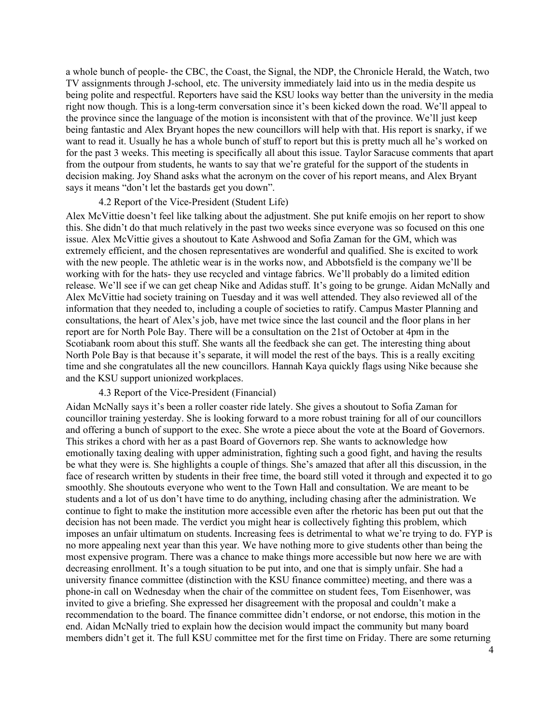a whole bunch of people- the CBC, the Coast, the Signal, the NDP, the Chronicle Herald, the Watch, two TV assignments through J-school, etc. The university immediately laid into us in the media despite us being polite and respectful. Reporters have said the KSU looks way better than the university in the media right now though. This is a long-term conversation since it's been kicked down the road. We'll appeal to the province since the language of the motion is inconsistent with that of the province. We'll just keep being fantastic and Alex Bryant hopes the new councillors will help with that. His report is snarky, if we want to read it. Usually he has a whole bunch of stuff to report but this is pretty much all he's worked on for the past 3 weeks. This meeting is specifically all about this issue. Taylor Saracuse comments that apart from the outpour from students, he wants to say that we're grateful for the support of the students in decision making. Joy Shand asks what the acronym on the cover of his report means, and Alex Bryant says it means "don't let the bastards get you down".

#### 4.2 Report of the Vice-President (Student Life)

Alex McVittie doesn't feel like talking about the adjustment. She put knife emojis on her report to show this. She didn't do that much relatively in the past two weeks since everyone was so focused on this one issue. Alex McVittie gives a shoutout to Kate Ashwood and Sofia Zaman for the GM, which was extremely efficient, and the chosen representatives are wonderful and qualified. She is excited to work with the new people. The athletic wear is in the works now, and Abbotsfield is the company we'll be working with for the hats- they use recycled and vintage fabrics. We'll probably do a limited edition release. We'll see if we can get cheap Nike and Adidas stuff. It's going to be grunge. Aidan McNally and Alex McVittie had society training on Tuesday and it was well attended. They also reviewed all of the information that they needed to, including a couple of societies to ratify. Campus Master Planning and consultations, the heart of Alex's job, have met twice since the last council and the floor plans in her report are for North Pole Bay. There will be a consultation on the 21st of October at 4pm in the Scotiabank room about this stuff. She wants all the feedback she can get. The interesting thing about North Pole Bay is that because it's separate, it will model the rest of the bays. This is a really exciting time and she congratulates all the new councillors. Hannah Kaya quickly flags using Nike because she and the KSU support unionized workplaces.

## 4.3 Report of the Vice-President (Financial)

Aidan McNally says it's been a roller coaster ride lately. She gives a shoutout to Sofia Zaman for councillor training yesterday. She is looking forward to a more robust training for all of our councillors and offering a bunch of support to the exec. She wrote a piece about the vote at the Board of Governors. This strikes a chord with her as a past Board of Governors rep. She wants to acknowledge how emotionally taxing dealing with upper administration, fighting such a good fight, and having the results be what they were is. She highlights a couple of things. She's amazed that after all this discussion, in the face of research written by students in their free time, the board still voted it through and expected it to go smoothly. She shoutouts everyone who went to the Town Hall and consultation. We are meant to be students and a lot of us don't have time to do anything, including chasing after the administration. We continue to fight to make the institution more accessible even after the rhetoric has been put out that the decision has not been made. The verdict you might hear is collectively fighting this problem, which imposes an unfair ultimatum on students. Increasing fees is detrimental to what we're trying to do. FYP is no more appealing next year than this year. We have nothing more to give students other than being the most expensive program. There was a chance to make things more accessible but now here we are with decreasing enrollment. It's a tough situation to be put into, and one that is simply unfair. She had a university finance committee (distinction with the KSU finance committee) meeting, and there was a phone-in call on Wednesday when the chair of the committee on student fees, Tom Eisenhower, was invited to give a briefing. She expressed her disagreement with the proposal and couldn't make a recommendation to the board. The finance committee didn't endorse, or not endorse, this motion in the end. Aidan McNally tried to explain how the decision would impact the community but many board members didn't get it. The full KSU committee met for the first time on Friday. There are some returning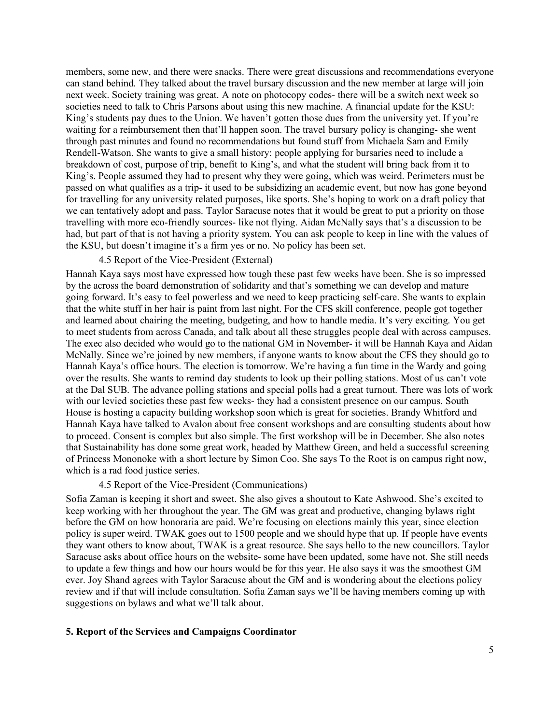members, some new, and there were snacks. There were great discussions and recommendations everyone can stand behind. They talked about the travel bursary discussion and the new member at large will join next week. Society training was great. A note on photocopy codes- there will be a switch next week so societies need to talk to Chris Parsons about using this new machine. A financial update for the KSU: King's students pay dues to the Union. We haven't gotten those dues from the university yet. If you're waiting for a reimbursement then that'll happen soon. The travel bursary policy is changing- she went through past minutes and found no recommendations but found stuff from Michaela Sam and Emily Rendell-Watson. She wants to give a small history: people applying for bursaries need to include a breakdown of cost, purpose of trip, benefit to King's, and what the student will bring back from it to King's. People assumed they had to present why they were going, which was weird. Perimeters must be passed on what qualifies as a trip- it used to be subsidizing an academic event, but now has gone beyond for travelling for any university related purposes, like sports. She's hoping to work on a draft policy that we can tentatively adopt and pass. Taylor Saracuse notes that it would be great to put a priority on those travelling with more eco-friendly sources- like not flying. Aidan McNally says that's a discussion to be had, but part of that is not having a priority system. You can ask people to keep in line with the values of the KSU, but doesn't imagine it's a firm yes or no. No policy has been set.

#### 4.5 Report of the Vice-President (External)

Hannah Kaya says most have expressed how tough these past few weeks have been. She is so impressed by the across the board demonstration of solidarity and that's something we can develop and mature going forward. It's easy to feel powerless and we need to keep practicing self-care. She wants to explain that the white stuff in her hair is paint from last night. For the CFS skill conference, people got together and learned about chairing the meeting, budgeting, and how to handle media. It's very exciting. You get to meet students from across Canada, and talk about all these struggles people deal with across campuses. The exec also decided who would go to the national GM in November- it will be Hannah Kaya and Aidan McNally. Since we're joined by new members, if anyone wants to know about the CFS they should go to Hannah Kaya's office hours. The election is tomorrow. We're having a fun time in the Wardy and going over the results. She wants to remind day students to look up their polling stations. Most of us can't vote at the Dal SUB. The advance polling stations and special polls had a great turnout. There was lots of work with our levied societies these past few weeks- they had a consistent presence on our campus. South House is hosting a capacity building workshop soon which is great for societies. Brandy Whitford and Hannah Kaya have talked to Avalon about free consent workshops and are consulting students about how to proceed. Consent is complex but also simple. The first workshop will be in December. She also notes that Sustainability has done some great work, headed by Matthew Green, and held a successful screening of Princess Mononoke with a short lecture by Simon Coo. She says To the Root is on campus right now, which is a rad food justice series.

#### 4.5 Report of the Vice-President (Communications)

Sofia Zaman is keeping it short and sweet. She also gives a shoutout to Kate Ashwood. She's excited to keep working with her throughout the year. The GM was great and productive, changing bylaws right before the GM on how honoraria are paid. We're focusing on elections mainly this year, since election policy is super weird. TWAK goes out to 1500 people and we should hype that up. If people have events they want others to know about, TWAK is a great resource. She says hello to the new councillors. Taylor Saracuse asks about office hours on the website- some have been updated, some have not. She still needs to update a few things and how our hours would be for this year. He also says it was the smoothest GM ever. Joy Shand agrees with Taylor Saracuse about the GM and is wondering about the elections policy review and if that will include consultation. Sofia Zaman says we'll be having members coming up with suggestions on bylaws and what we'll talk about.

#### **5. Report of the Services and Campaigns Coordinator**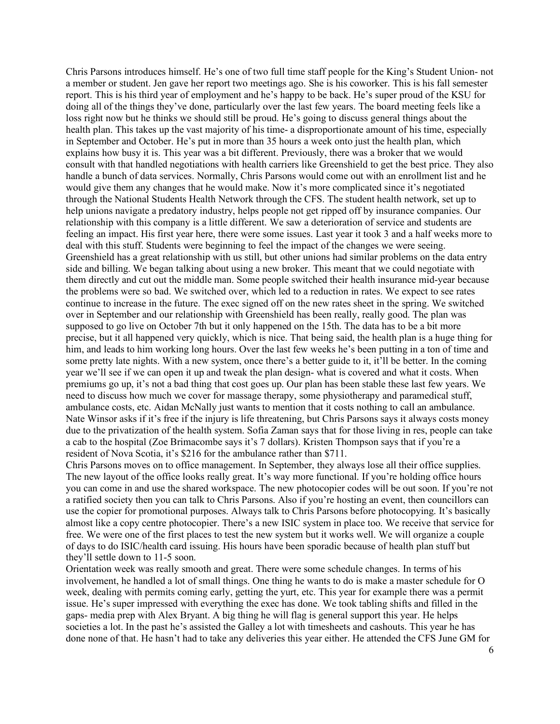Chris Parsons introduces himself. He's one of two full time staff people for the King's Student Union- not a member or student. Jen gave her report two meetings ago. She is his coworker. This is his fall semester report. This is his third year of employment and he's happy to be back. He's super proud of the KSU for doing all of the things they've done, particularly over the last few years. The board meeting feels like a loss right now but he thinks we should still be proud. He's going to discuss general things about the health plan. This takes up the vast majority of his time- a disproportionate amount of his time, especially in September and October. He's put in more than 35 hours a week onto just the health plan, which explains how busy it is. This year was a bit different. Previously, there was a broker that we would consult with that handled negotiations with health carriers like Greenshield to get the best price. They also handle a bunch of data services. Normally, Chris Parsons would come out with an enrollment list and he would give them any changes that he would make. Now it's more complicated since it's negotiated through the National Students Health Network through the CFS. The student health network, set up to help unions navigate a predatory industry, helps people not get ripped off by insurance companies. Our relationship with this company is a little different. We saw a deterioration of service and students are feeling an impact. His first year here, there were some issues. Last year it took 3 and a half weeks more to deal with this stuff. Students were beginning to feel the impact of the changes we were seeing. Greenshield has a great relationship with us still, but other unions had similar problems on the data entry side and billing. We began talking about using a new broker. This meant that we could negotiate with them directly and cut out the middle man. Some people switched their health insurance mid-year because the problems were so bad. We switched over, which led to a reduction in rates. We expect to see rates continue to increase in the future. The exec signed off on the new rates sheet in the spring. We switched over in September and our relationship with Greenshield has been really, really good. The plan was supposed to go live on October 7th but it only happened on the 15th. The data has to be a bit more precise, but it all happened very quickly, which is nice. That being said, the health plan is a huge thing for him, and leads to him working long hours. Over the last few weeks he's been putting in a ton of time and some pretty late nights. With a new system, once there's a better guide to it, it'll be better. In the coming year we'll see if we can open it up and tweak the plan design- what is covered and what it costs. When premiums go up, it's not a bad thing that cost goes up. Our plan has been stable these last few years. We need to discuss how much we cover for massage therapy, some physiotherapy and paramedical stuff, ambulance costs, etc. Aidan McNally just wants to mention that it costs nothing to call an ambulance. Nate Winsor asks if it's free if the injury is life threatening, but Chris Parsons says it always costs money due to the privatization of the health system. Sofia Zaman says that for those living in res, people can take a cab to the hospital (Zoe Brimacombe says it's 7 dollars). Kristen Thompson says that if you're a resident of Nova Scotia, it's \$216 for the ambulance rather than \$711.

Chris Parsons moves on to office management. In September, they always lose all their office supplies. The new layout of the office looks really great. It's way more functional. If you're holding office hours you can come in and use the shared workspace. The new photocopier codes will be out soon. If you're not a ratified society then you can talk to Chris Parsons. Also if you're hosting an event, then councillors can use the copier for promotional purposes. Always talk to Chris Parsons before photocopying. It's basically almost like a copy centre photocopier. There's a new ISIC system in place too. We receive that service for free. We were one of the first places to test the new system but it works well. We will organize a couple of days to do ISIC/health card issuing. His hours have been sporadic because of health plan stuff but they'll settle down to 11-5 soon.

Orientation week was really smooth and great. There were some schedule changes. In terms of his involvement, he handled a lot of small things. One thing he wants to do is make a master schedule for O week, dealing with permits coming early, getting the yurt, etc. This year for example there was a permit issue. He's super impressed with everything the exec has done. We took tabling shifts and filled in the gaps- media prep with Alex Bryant. A big thing he will flag is general support this year. He helps societies a lot. In the past he's assisted the Galley a lot with timesheets and cashouts. This year he has done none of that. He hasn't had to take any deliveries this year either. He attended the CFS June GM for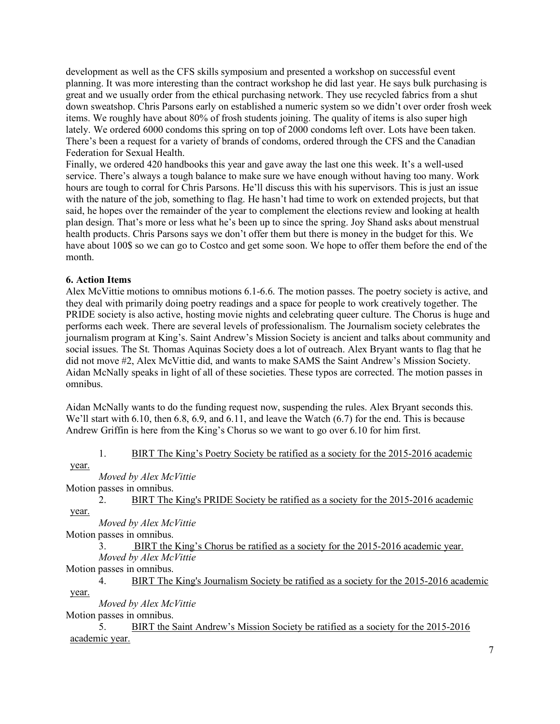development as well as the CFS skills symposium and presented a workshop on successful event planning. It was more interesting than the contract workshop he did last year. He says bulk purchasing is great and we usually order from the ethical purchasing network. They use recycled fabrics from a shut down sweatshop. Chris Parsons early on established a numeric system so we didn't over order frosh week items. We roughly have about 80% of frosh students joining. The quality of items is also super high lately. We ordered 6000 condoms this spring on top of 2000 condoms left over. Lots have been taken. There's been a request for a variety of brands of condoms, ordered through the CFS and the Canadian Federation for Sexual Health.

Finally, we ordered 420 handbooks this year and gave away the last one this week. It's a well-used service. There's always a tough balance to make sure we have enough without having too many. Work hours are tough to corral for Chris Parsons. He'll discuss this with his supervisors. This is just an issue with the nature of the job, something to flag. He hasn't had time to work on extended projects, but that said, he hopes over the remainder of the year to complement the elections review and looking at health plan design. That's more or less what he's been up to since the spring. Joy Shand asks about menstrual health products. Chris Parsons says we don't offer them but there is money in the budget for this. We have about 100\$ so we can go to Costco and get some soon. We hope to offer them before the end of the month.

## **6. Action Items**

Alex McVittie motions to omnibus motions 6.1-6.6. The motion passes. The poetry society is active, and they deal with primarily doing poetry readings and a space for people to work creatively together. The PRIDE society is also active, hosting movie nights and celebrating queer culture. The Chorus is huge and performs each week. There are several levels of professionalism. The Journalism society celebrates the journalism program at King's. Saint Andrew's Mission Society is ancient and talks about community and social issues. The St. Thomas Aquinas Society does a lot of outreach. Alex Bryant wants to flag that he did not move #2, Alex McVittie did, and wants to make SAMS the Saint Andrew's Mission Society. Aidan McNally speaks in light of all of these societies. These typos are corrected. The motion passes in omnibus.

Aidan McNally wants to do the funding request now, suspending the rules. Alex Bryant seconds this. We'll start with 6.10, then 6.8, 6.9, and 6.11, and leave the Watch (6.7) for the end. This is because Andrew Griffin is here from the King's Chorus so we want to go over 6.10 for him first.

#### 1. BIRT The King's Poetry Society be ratified as a society for the 2015-2016 academic

year.

## *Moved by Alex McVittie*

Motion passes in omnibus.

2. BIRT The King's PRIDE Society be ratified as a society for the 2015-2016 academic year.

*Moved by Alex McVittie*

Motion passes in omnibus.

3. BIRT the King's Chorus be ratified as a society for the 2015-2016 academic year. *Moved by Alex McVittie*

Motion passes in omnibus.

4. BIRT The King's Journalism Society be ratified as a society for the 2015-2016 academic year.

*Moved by Alex McVittie*

Motion passes in omnibus.

5. BIRT the Saint Andrew's Mission Society be ratified as a society for the 2015-2016 academic year.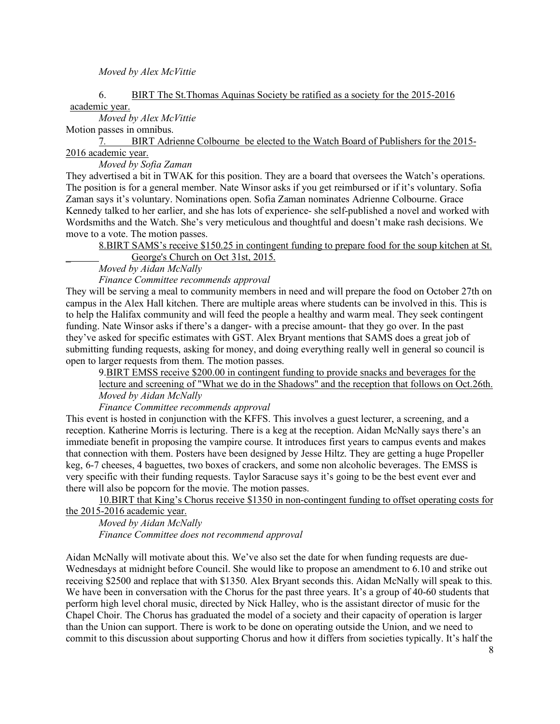#### *Moved by Alex McVittie*

#### 6. BIRT The St.Thomas Aquinas Society be ratified as a society for the 2015-2016 academic year.

### *Moved by Alex McVittie*

Motion passes in omnibus.

7*.* BIRT Adrienne Colbourne be elected to the Watch Board of Publishers for the 2015- 2016 academic year.

*Moved by Sofia Zaman* 

They advertised a bit in TWAK for this position. They are a board that oversees the Watch's operations. The position is for a general member. Nate Winsor asks if you get reimbursed or if it's voluntary. Sofia Zaman says it's voluntary. Nominations open. Sofia Zaman nominates Adrienne Colbourne. Grace Kennedy talked to her earlier, and she has lots of experience- she self-published a novel and worked with Wordsmiths and the Watch. She's very meticulous and thoughtful and doesn't make rash decisions. We move to a vote. The motion passes.

## 8.BIRT SAMS's receive \$150.25 in contingent funding to prepare food for the soup kitchen at St. George's Church on Oct 31st, 2015.

*Moved by Aidan McNally*

*Finance Committee recommends approval*

They will be serving a meal to community members in need and will prepare the food on October 27th on campus in the Alex Hall kitchen. There are multiple areas where students can be involved in this. This is to help the Halifax community and will feed the people a healthy and warm meal. They seek contingent funding. Nate Winsor asks if there's a danger- with a precise amount- that they go over. In the past they've asked for specific estimates with GST. Alex Bryant mentions that SAMS does a great job of submitting funding requests, asking for money, and doing everything really well in general so council is open to larger requests from them. The motion passes.

9.BIRT EMSS receive \$200.00 in contingent funding to provide snacks and beverages for the lecture and screening of "What we do in the Shadows" and the reception that follows on Oct.26th. *Moved by Aidan McNally*

# *Finance Committee recommends approval*

This event is hosted in conjunction with the KFFS. This involves a guest lecturer, a screening, and a reception. Katherine Morris is lecturing. There is a keg at the reception. Aidan McNally says there's an immediate benefit in proposing the vampire course. It introduces first years to campus events and makes that connection with them. Posters have been designed by Jesse Hiltz. They are getting a huge Propeller keg, 6-7 cheeses, 4 baguettes, two boxes of crackers, and some non alcoholic beverages. The EMSS is very specific with their funding requests. Taylor Saracuse says it's going to be the best event ever and there will also be popcorn for the movie. The motion passes.

10.BIRT that King's Chorus receive \$1350 in non-contingent funding to offset operating costs for the 2015-2016 academic year.

*Moved by Aidan McNally Finance Committee does not recommend approval*

Aidan McNally will motivate about this. We've also set the date for when funding requests are due-Wednesdays at midnight before Council. She would like to propose an amendment to 6.10 and strike out receiving \$2500 and replace that with \$1350. Alex Bryant seconds this. Aidan McNally will speak to this. We have been in conversation with the Chorus for the past three years. It's a group of 40-60 students that perform high level choral music, directed by Nick Halley, who is the assistant director of music for the Chapel Choir. The Chorus has graduated the model of a society and their capacity of operation is larger than the Union can support. There is work to be done on operating outside the Union, and we need to commit to this discussion about supporting Chorus and how it differs from societies typically. It's half the